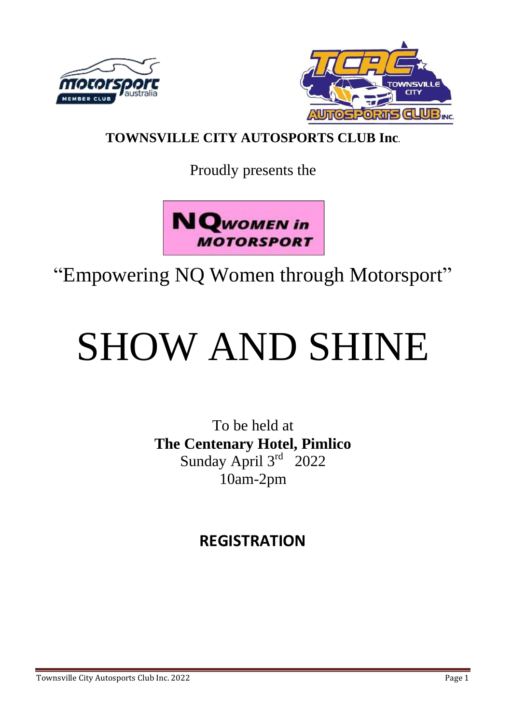



### **TOWNSVILLE CITY AUTOSPORTS CLUB Inc.**

Proudly presents the



## "Empowering NQ Women through Motorsport"

# SHOW AND SHINE

To be held at **The Centenary Hotel, Pimlico**  Sunday April 3rd 2022 10am-2pm

## **REGISTRATION**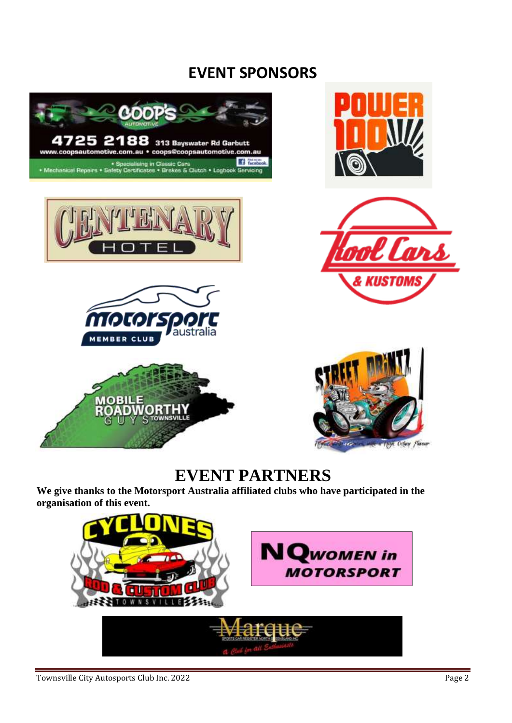## **EVENT SPONSORS**















## **EVENT PARTNERS**

**We give thanks to the Motorsport Australia affiliated clubs who have participated in the organisation of this event.** 

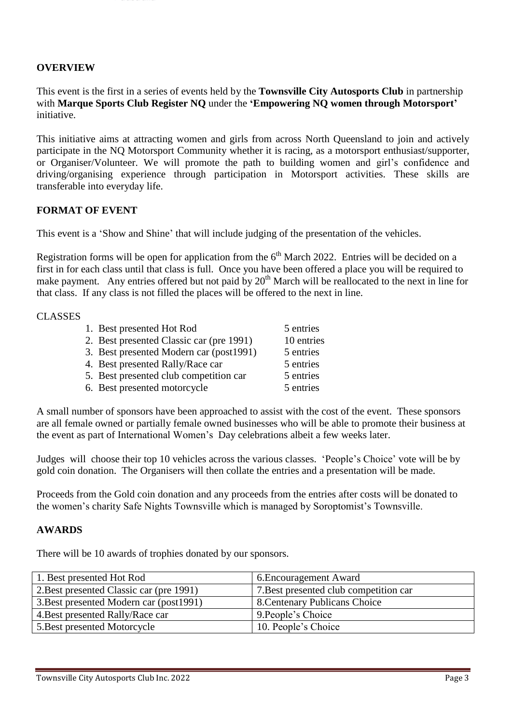#### **OVERVIEW**

This event is the first in a series of events held by the **Townsville City Autosports Club** in partnership with **Marque Sports Club Register NQ** under the **'Empowering NQ women through Motorsport'** initiative.

This initiative aims at attracting women and girls from across North Queensland to join and actively participate in the NQ Motorsport Community whether it is racing, as a motorsport enthusiast/supporter, or Organiser/Volunteer. We will promote the path to building women and girl's confidence and driving/organising experience through participation in Motorsport activities. These skills are transferable into everyday life.

#### **FORMAT OF EVENT**

This event is a 'Show and Shine' that will include judging of the presentation of the vehicles.

Registration forms will be open for application from the  $6<sup>th</sup>$  March 2022. Entries will be decided on a first in for each class until that class is full. Once you have been offered a place you will be required to make payment. Any entries offered but not paid by  $20<sup>th</sup>$  March will be reallocated to the next in line for that class. If any class is not filled the places will be offered to the next in line.

#### CLASSES

| 1. Best presented Hot Rod                | 5 entries  |
|------------------------------------------|------------|
| 2. Best presented Classic car (pre 1991) | 10 entries |
| 3. Best presented Modern car (post1991)  | 5 entries  |
| 4. Best presented Rally/Race car         | 5 entries  |
| 5. Best presented club competition car   | 5 entries  |
| 6. Best presented motorcycle             | 5 entries  |

A small number of sponsors have been approached to assist with the cost of the event. These sponsors are all female owned or partially female owned businesses who will be able to promote their business at the event as part of International Women's Day celebrations albeit a few weeks later.

Judges will choose their top 10 vehicles across the various classes. 'People's Choice' vote will be by gold coin donation. The Organisers will then collate the entries and a presentation will be made.

Proceeds from the Gold coin donation and any proceeds from the entries after costs will be donated to the women's charity Safe Nights Townsville which is managed by Soroptomist's Townsville.

#### **AWARDS**

There will be 10 awards of trophies donated by our sponsors.

| 1. Best presented Hot Rod                | 6. Encouragement Award                 |
|------------------------------------------|----------------------------------------|
| 2. Best presented Classic car (pre 1991) | 7. Best presented club competition car |
| 3. Best presented Modern car (post1991)  | 8. Centenary Publicans Choice          |
| 4. Best presented Rally/Race car         | 9. People's Choice                     |
| 5. Best presented Motorcycle             | 10. People's Choice                    |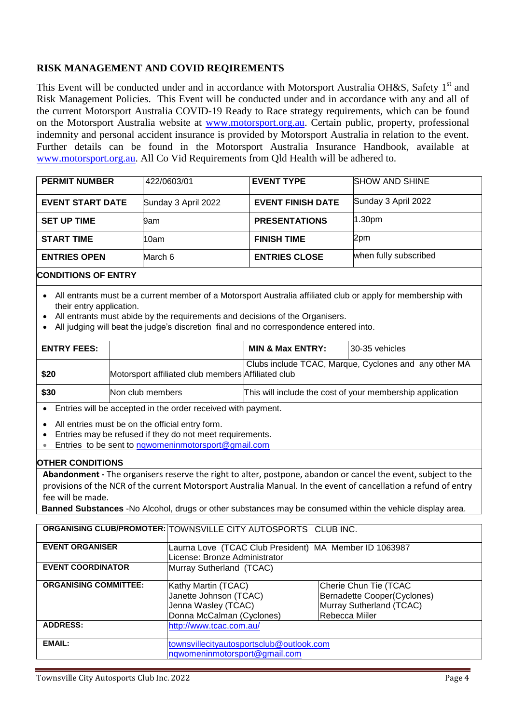#### **RISK MANAGEMENT AND COVID REQIREMENTS**

This Event will be conducted under and in accordance with Motorsport Australia OH&S, Safety 1<sup>st</sup> and Risk Management Policies. This Event will be conducted under and in accordance with any and all of the current Motorsport Australia COVID-19 Ready to Race strategy requirements, which can be found on the Motorsport Australia website at [www.motorsport.org.au. C](about:blank)ertain public, property, professional indemnity and personal accident insurance is provided by Motorsport Australia in relation to the event. Further details can be found in the Motorsport Australia Insurance Handbook, available at [www.motorsport.org.au.](about:blank) All Co Vid Requirements from Qld Health will be adhered to.

| <b>PERMIT NUMBER</b>    | 422/0603/01         | <b>EVENT TYPE</b>        | <b>SHOW AND SHINE</b> |
|-------------------------|---------------------|--------------------------|-----------------------|
| <b>EVENT START DATE</b> | Sunday 3 April 2022 | <b>EVENT FINISH DATE</b> | Sunday 3 April 2022   |
| <b>SET UP TIME</b>      | 9am                 | <b>PRESENTATIONS</b>     | 1.30 <sub>pm</sub>    |
| <b>START TIME</b>       | 10am                | <b>FINISH TIME</b>       | 2pm                   |
| <b>ENTRIES OPEN</b>     | March 6             | <b>ENTRIES CLOSE</b>     | when fully subscribed |
|                         |                     |                          |                       |

#### **CONDITIONS OF ENTRY**

- All entrants must be a current member of a Motorsport Australia affiliated club or apply for membership with their entry application.
- All entrants must abide by the requirements and decisions of the Organisers.
- All judging will beat the judge's discretion final and no correspondence entered into.

| <b>ENTRY FEES:</b> |                                                    | <b>MIN &amp; Max ENTRY:</b>                               | 30-35 vehicles |
|--------------------|----------------------------------------------------|-----------------------------------------------------------|----------------|
| \$20               | Motorsport affiliated club members Affiliated club | Clubs include TCAC, Marque, Cyclones and any other MA     |                |
| \$30               | Non club members                                   | This will include the cost of your membership application |                |

Entries will be accepted in the order received with payment.

- All entries must be on the official entry form.
- Entries may be refused if they do not meet requirements.
- **Entries to be sent to [nqwomeninmotorsport@gmail.com](mailto:nqwomeninmotorsport@gmail.com)**

#### **OTHER CONDITIONS**

**Abandonment -** The organisers reserve the right to alter, postpone, abandon or cancel the event, subject to the provisions of the NCR of the current Motorsport Australia Manual. In the event of cancellation a refund of entry fee will be made.

**Banned Substances** -No Alcohol, drugs or other substances may be consumed within the vehicle display area.

|                              | ORGANISING CLUB/PROMOTER: TOWNSVILLE CITY AUTOSPORTS CLUB INC. |                             |  |
|------------------------------|----------------------------------------------------------------|-----------------------------|--|
| <b>EVENT ORGANISER</b>       | Laurna Love (TCAC Club President) MA Member ID 1063987         |                             |  |
|                              | License: Bronze Administrator                                  |                             |  |
| <b>EVENT COORDINATOR</b>     | Murray Sutherland (TCAC)                                       |                             |  |
|                              |                                                                |                             |  |
| <b>ORGANISING COMMITTEE:</b> | Kathy Martin (TCAC)                                            | Cherie Chun Tie (TCAC       |  |
|                              | Janette Johnson (TCAC)                                         | Bernadette Cooper(Cyclones) |  |
|                              | Jenna Wasley (TCAC)                                            | Murray Sutherland (TCAC)    |  |
|                              | Donna McCalman (Cyclones)                                      | Rebecca Miiler              |  |
| <b>ADDRESS:</b>              | http://www.tcac.com.au/                                        |                             |  |
|                              |                                                                |                             |  |
| <b>EMAIL:</b>                | townsvillecityautosportsclub@outlook.com                       |                             |  |
|                              | nqwomeninmotorsport@gmail.com                                  |                             |  |